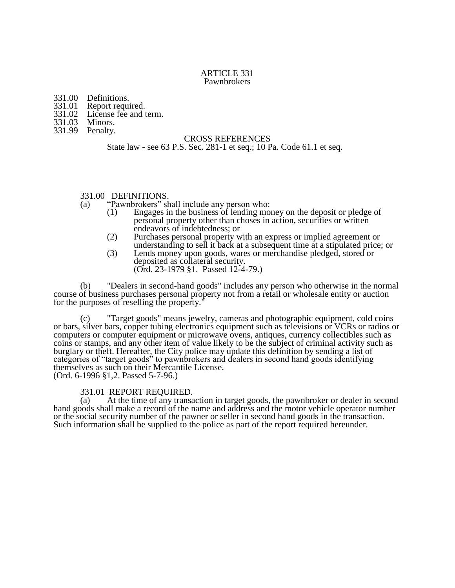#### ARTICLE 331 Pawnbrokers

- 331.00 Definitions.<br>331.01 Report requi
- 331.01 Report required.<br>331.02 License fee and t
- License fee and term.<br>Minors.
- 331.03
- 331.99 Penalty.

## CROSS REFERENCES

State law - see 63 P.S. Sec. 281-1 et seq.; 10 Pa. Code 61.1 et seq.

# 331.00 DEFINITIONS.<br>(a) "Pawnbrokers" sh

- (a) "Pawnbrokers" shall include any person who:
	- (1) Engages in the business of lending money on the deposit or pledge of personal property other than choses in action, securities or written endeavors of indebtedness; or
	- (2) Purchases personal property with an express or implied agreement or understanding to sell it back at a subsequent time at a stipulated price; or
	- (3) Lends money upon goods, wares or merchandise pledged, stored or deposited as collateral security. (Ord. 23-1979 §1. Passed 12-4-79.)

(b) "Dealers in second-hand goods" includes any person who otherwise in the normal course of business purchases personal property not from a retail or wholesale entity or auction for the purposes of reselling the property."

(c) "Target goods" means jewelry, cameras and photographic equipment, cold coins or bars, silver bars, copper tubing electronics equipment such as televisions or VCRs or radios or computers or computer equipment or microwave ovens, antiques, currency collectibles such as coins or stamps, and any other item of value likely to be the subject of criminal activity such as burglary or theft. Hereafter, the City police may update this definition by sending a list of categories of "target goods" to pawnbrokers and dealers in second hand goods identifying themselves as such on their Mercantile License. (Ord. 6-1996 §1,2. Passed 5-7-96.)

# 331.01 REPORT REQUIRED.

(a) At the time of any transaction in target goods, the pawnbroker or dealer in second hand goods shall make a record of the name and address and the motor vehicle operator number or the social security number of the pawner or seller in second hand goods in the transaction. Such information shall be supplied to the police as part of the report required hereunder.